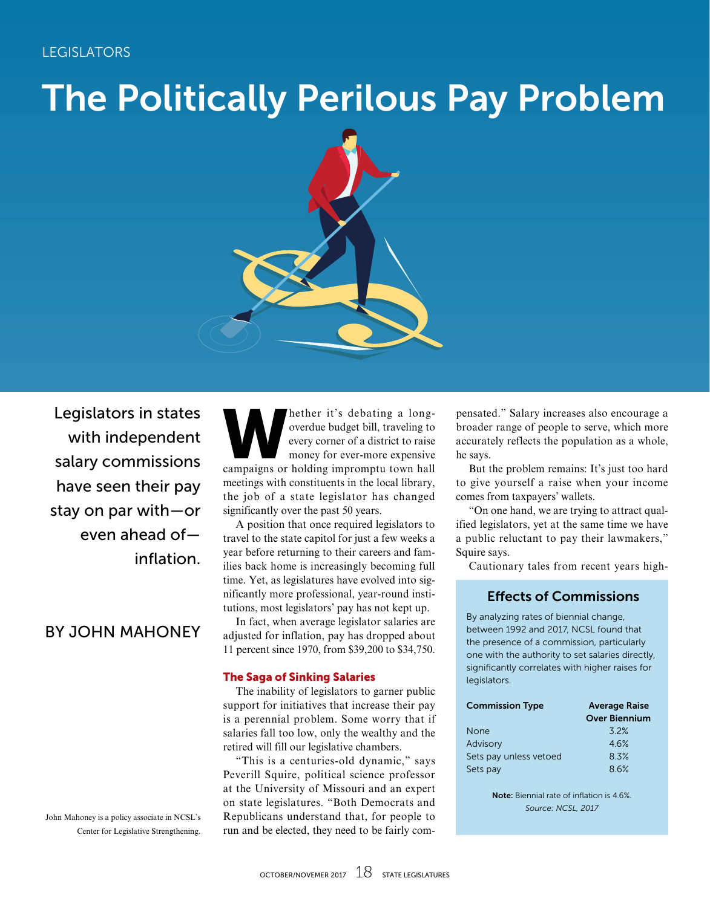# The Politically Perilous Pay Problem



Legislators in states with independent salary commissions have seen their pay stay on par with—or even ahead of inflation.

## BY JOHN MAHONEY

John Mahoney is a policy associate in NCSL's Center for Legislative Strengthening.

hether it's debating a long-<br>overdue budget bill, traveling to<br>every corner of a district to raise<br>money for ever-more expensive<br>campaigns or holding impromptu town hall overdue budget bill, traveling to every corner of a district to raise money for ever-more expensive campaigns or holding impromptu town hall meetings with constituents in the local library, the job of a state legislator has changed significantly over the past 50 years.

A position that once required legislators to travel to the state capitol for just a few weeks a year before returning to their careers and families back home is increasingly becoming full time. Yet, as legislatures have evolved into significantly more professional, year-round institutions, most legislators' pay has not kept up.

In fact, when average legislator salaries are adjusted for inflation, pay has dropped about 11 percent since 1970, from \$39,200 to \$34,750.

#### The Saga of Sinking Salaries

The inability of legislators to garner public support for initiatives that increase their pay is a perennial problem. Some worry that if salaries fall too low, only the wealthy and the retired will fill our legislative chambers.

"This is a centuries-old dynamic," says Peverill Squire, political science professor at the University of Missouri and an expert on state legislatures. "Both Democrats and Republicans understand that, for people to run and be elected, they need to be fairly compensated." Salary increases also encourage a broader range of people to serve, which more accurately reflects the population as a whole, he says.

But the problem remains: It's just too hard to give yourself a raise when your income comes from taxpayers' wallets.

"On one hand, we are trying to attract qualified legislators, yet at the same time we have a public reluctant to pay their lawmakers," Squire says.

Cautionary tales from recent years high-

#### Effects of Commissions

By analyzing rates of biennial change, between 1992 and 2017, NCSL found that the presence of a commission, particularly one with the authority to set salaries directly, significantly correlates with higher raises for legislators.

| <b>Commission Type</b> | <b>Average Raise</b> |  |
|------------------------|----------------------|--|
|                        | <b>Over Biennium</b> |  |
| None                   | 32%                  |  |
| Advisory               | 46%                  |  |
| Sets pay unless vetoed | 8.3%                 |  |
| Sets pay               | 86%                  |  |
|                        |                      |  |

Note: Biennial rate of inflation is 4.6%. *Source: NCSL, 2017*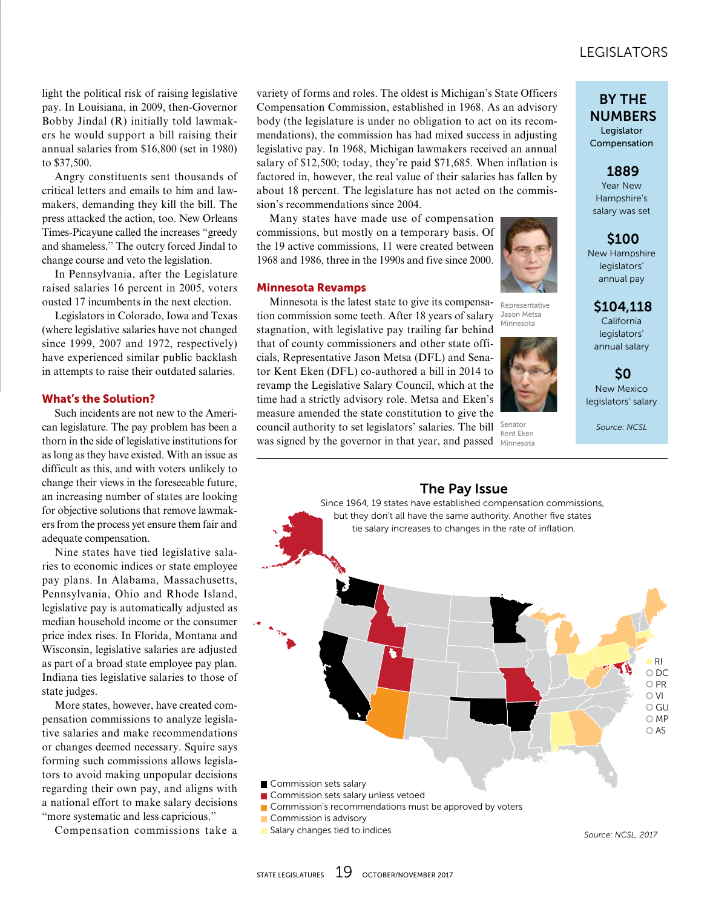## LEGISLATORS LEGISLATORS

light the political risk of raising legislative pay. In Louisiana, in 2009, then-Governor Bobby Jindal (R) initially told lawmakers he would support a bill raising their annual salaries from \$16,800 (set in 1980) to \$37,500.

Angry constituents sent thousands of critical letters and emails to him and lawmakers, demanding they kill the bill. The press attacked the action, too. New Orleans Times-Picayune called the increases "greedy and shameless." The outcry forced Jindal to change course and veto the legislation.

In Pennsylvania, after the Legislature raised salaries 16 percent in 2005, voters ousted 17 incumbents in the next election.

Legislators in Colorado, Iowa and Texas (where legislative salaries have not changed since 1999, 2007 and 1972, respectively) have experienced similar public backlash in attempts to raise their outdated salaries.

#### What's the Solution?

Such incidents are not new to the American legislature. The pay problem has been a thorn in the side of legislative institutions for as long as they have existed. With an issue as difficult as this, and with voters unlikely to change their views in the foreseeable future, an increasing number of states are looking for objective solutions that remove lawmakers from the process yet ensure them fair and adequate compensation.

Nine states have tied legislative salaries to economic indices or state employee pay plans. In Alabama, Massachusetts, Pennsylvania, Ohio and Rhode Island, legislative pay is automatically adjusted as median household income or the consumer price index rises. In Florida, Montana and Wisconsin, legislative salaries are adjusted as part of a broad state employee pay plan. Indiana ties legislative salaries to those of state judges.

More states, however, have created compensation commissions to analyze legislative salaries and make recommendations or changes deemed necessary. Squire says forming such commissions allows legislators to avoid making unpopular decisions regarding their own pay, and aligns with a national effort to make salary decisions "more systematic and less capricious."

Compensation commissions take a

variety of forms and roles. The oldest is Michigan's State Officers Compensation Commission, established in 1968. As an advisory body (the legislature is under no obligation to act on its recommendations), the commission has had mixed success in adjusting legislative pay. In 1968, Michigan lawmakers received an annual salary of \$12,500; today, they're paid \$71,685. When inflation is factored in, however, the real value of their salaries has fallen by about 18 percent. The legislature has not acted on the commission's recommendations since 2004.

Many states have made use of compensation commissions, but mostly on a temporary basis. Of the 19 active commissions, 11 were created between 1968 and 1986, three in the 1990s and five since 2000.

#### Minnesota Revamps

Minnesota is the latest state to give its compensation commission some teeth. After 18 years of salary stagnation, with legislative pay trailing far behind that of county commissioners and other state officials, Representative Jason Metsa (DFL) and Senator Kent Eken (DFL) co-authored a bill in 2014 to revamp the Legislative Salary Council, which at the time had a strictly advisory role. Metsa and Eken's measure amended the state constitution to give the council authority to set legislators' salaries. The bill was signed by the governor in that year, and passed



Representative Jason Metsa Minnesota



Senator Kent Eken Minnesota

#### BY THE NUMBERS Legislator

Compensation

1889

Year New Hampshire's salary was set

\$100 New Hampshire legislators' annual pay

\$104,118

California legislators' annual salary

\$0 New Mexico legislators' salary

*Source: NCSL*

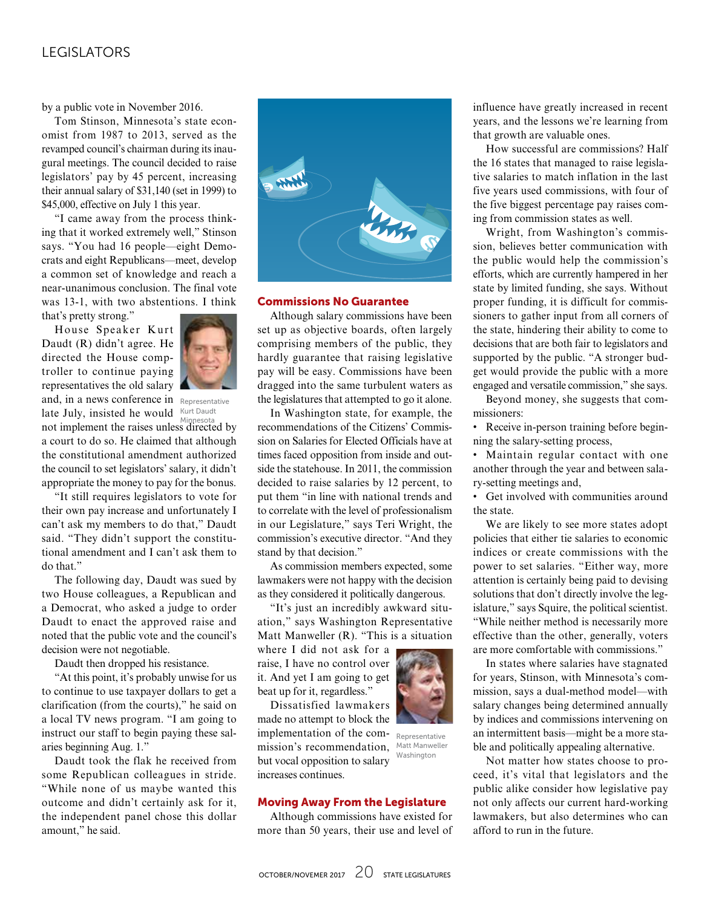### LEGISLATORS

by a public vote in November 2016.

Tom Stinson, Minnesota's state economist from 1987 to 2013, served as the revamped council's chairman during its inaugural meetings. The council decided to raise legislators' pay by 45 percent, increasing their annual salary of \$31,140 (set in 1999) to \$45,000, effective on July 1 this year.

"I came away from the process thinking that it worked extremely well," Stinson says. "You had 16 people—eight Democrats and eight Republicans—meet, develop a common set of knowledge and reach a near-unanimous conclusion. The final vote was 13-1, with two abstentions. I think that's pretty strong."

House Speaker Kurt Daudt (R) didn't agree. He directed the House comptroller to continue paying representatives the old salary and, in a news conference in Representative



late July, insisted he would  $Kurt$  Daudt Minnesota

not implement the raises unless directed by a court to do so. He claimed that although the constitutional amendment authorized the council to set legislators' salary, it didn't appropriate the money to pay for the bonus.

"It still requires legislators to vote for their own pay increase and unfortunately I can't ask my members to do that," Daudt said. "They didn't support the constitutional amendment and I can't ask them to do that."

The following day, Daudt was sued by two House colleagues, a Republican and a Democrat, who asked a judge to order Daudt to enact the approved raise and noted that the public vote and the council's decision were not negotiable.

Daudt then dropped his resistance.

"At this point, it's probably unwise for us to continue to use taxpayer dollars to get a clarification (from the courts)," he said on a local TV news program. "I am going to instruct our staff to begin paying these salaries beginning Aug. 1."

Daudt took the flak he received from some Republican colleagues in stride. "While none of us maybe wanted this outcome and didn't certainly ask for it, the independent panel chose this dollar amount," he said.



#### Commissions No Guarantee

Although salary commissions have been set up as objective boards, often largely comprising members of the public, they hardly guarantee that raising legislative pay will be easy. Commissions have been dragged into the same turbulent waters as the legislatures that attempted to go it alone.

In Washington state, for example, the recommendations of the Citizens' Commission on Salaries for Elected Officials have at times faced opposition from inside and outside the statehouse. In 2011, the commission decided to raise salaries by 12 percent, to put them "in line with national trends and to correlate with the level of professionalism in our Legislature," says Teri Wright, the commission's executive director. "And they stand by that decision."

As commission members expected, some lawmakers were not happy with the decision as they considered it politically dangerous.

"It's just an incredibly awkward situation," says Washington Representative Matt Manweller (R). "This is a situation

where I did not ask for a raise, I have no control over it. And yet I am going to get beat up for it, regardless."

Dissatisfied lawmakers made no attempt to block the implementation of the commission's recommendation, but vocal opposition to salary increases continues. Representative

#### Moving Away From the Legislature

Although commissions have existed for more than 50 years, their use and level of



How successful are commissions? Half the 16 states that managed to raise legislative salaries to match inflation in the last five years used commissions, with four of the five biggest percentage pay raises coming from commission states as well.

Wright, from Washington's commission, believes better communication with the public would help the commission's efforts, which are currently hampered in her state by limited funding, she says. Without proper funding, it is difficult for commissioners to gather input from all corners of the state, hindering their ability to come to decisions that are both fair to legislators and supported by the public. "A stronger budget would provide the public with a more engaged and versatile commission," she says.

Beyond money, she suggests that commissioners:

• Receive in-person training before beginning the salary-setting process,

• Maintain regular contact with one another through the year and between salary-setting meetings and,

• Get involved with communities around the state.

We are likely to see more states adopt policies that either tie salaries to economic indices or create commissions with the power to set salaries. "Either way, more attention is certainly being paid to devising solutions that don't directly involve the legislature," says Squire, the political scientist. "While neither method is necessarily more effective than the other, generally, voters are more comfortable with commissions."

In states where salaries have stagnated for years, Stinson, with Minnesota's commission, says a dual-method model—with salary changes being determined annually by indices and commissions intervening on an intermittent basis—might be a more stable and politically appealing alternative.

Not matter how states choose to proceed, it's vital that legislators and the public alike consider how legislative pay not only affects our current hard-working lawmakers, but also determines who can afford to run in the future.

Matt Manweller Washington